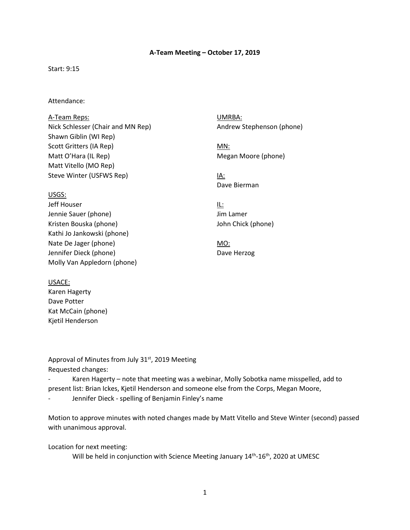#### **A-Team Meeting – October 17, 2019**

#### Start: 9:15

#### Attendance:

A-Team Reps: Nick Schlesser (Chair and MN Rep) Shawn Giblin (WI Rep) Scott Gritters (IA Rep) Matt O'Hara (IL Rep) Matt Vitello (MO Rep) Steve Winter (USFWS Rep)

#### USGS:

 Molly Van Appledorn (phone) Jeff Houser Jennie Sauer (phone) Kristen Bouska (phone) Kathi Jo Jankowski (phone) Nate De Jager (phone) Jennifer Dieck (phone)

UMRBA: Andrew Stephenson (phone)

MN: Megan Moore (phone)

IA: Dave Bierman

IL: Jim Lamer John Chick (phone)

MO: Dave Herzog

 Kjetil Henderson USACE: Karen Hagerty Dave Potter Kat McCain (phone)

Approval of Minutes from July  $31<sup>st</sup>$ , 2019 Meeting Requested changes:

 - Karen Hagerty – note that meeting was a webinar, Molly Sobotka name misspelled, add to present list: Brian Ickes, Kjetil Henderson and someone else from the Corps, Megan Moore, - Jennifer Dieck - spelling of Benjamin Finley's name

 Motion to approve minutes with noted changes made by Matt Vitello and Steve Winter (second) passed with unanimous approval.

Location for next meeting:

Will be held in conjunction with Science Meeting January 14<sup>th</sup>-16<sup>th</sup>, 2020 at UMESC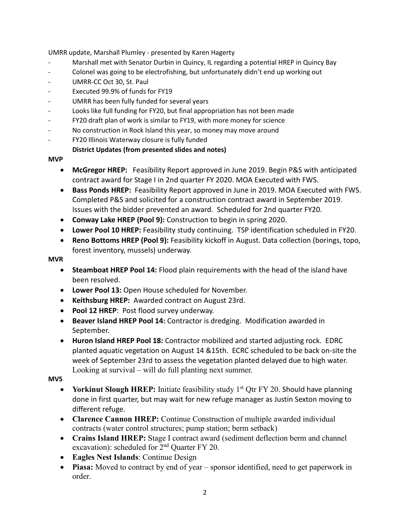UMRR update, Marshall Plumley - presented by Karen Hagerty

- Marshall met with Senator Durbin in Quincy, IL regarding a potential HREP in Quincy Bay
- Colonel was going to be electrofishing, but unfortunately didn't end up working out
- UMRR-CC Oct 30, St. Paul
- Executed 99.9% of funds for FY19
- UMRR has been fully funded for several years
- Looks like full funding for FY20, but final appropriation has not been made
- FY20 draft plan of work is similar to FY19, with more money for science
- No construction in Rock Island this year, so money may move around
- FY20 Illinois Waterway closure is fully funded

# **District Updates (from presented slides and notes)**

# **MVP**

- **McGregor HREP:** Feasibility Report approved in June 2019. Begin P&S with anticipated contract award for Stage I in 2nd quarter FY 2020. MOA Executed with FWS.
- **Bass Ponds HREP:** Feasibility Report approved in June in 2019. MOA Executed with FWS. Completed P&S and solicited for a construction contract award in September 2019. Issues with the bidder prevented an award. Scheduled for 2nd quarter FY20.
- **Conway Lake HREP (Pool 9):** Construction to begin in spring 2020.
- **Lower Pool 10 HREP:** Feasibility study continuing. TSP identification scheduled in FY20.
- **Reno Bottoms HREP (Pool 9):** Feasibility kickoff in August. Data collection (borings, topo, forest inventory, mussels) underway.

# **MVR**

- • **Steamboat HREP Pool 14:** Flood plain requirements with the head of the island have been resolved.
- **Lower Pool 13:** Open House scheduled for November.
- **Keithsburg HREP:** Awarded contract on August 23rd.
- **Pool 12 HREP**: Post flood survey underway.
- **Beaver Island HREP Pool 14:** Contractor is dredging. Modification awarded in September.
- **Huron Island HREP Pool 18:** Contractor mobilized and started adjusting rock. EDRC planted aquatic vegetation on August 14 &15th. ECRC scheduled to be back on-site the week of September 23rd to assess the vegetation planted delayed due to high water. Looking at survival – will do full planting next summer.

# **MVS**

- **Yorkinut Slough HREP:** Initiate feasibility study 1<sup>st</sup> Qtr FY 20. Should have planning done in first quarter, but may wait for new refuge manager as Justin Sexton moving to different refuge.
- **Clarence Cannon HREP:** Continue Construction of multiple awarded individual contracts (water control structures; pump station; berm setback)
- **Crains Island HREP:** Stage I contract award (sediment deflection berm and channel excavation): scheduled for  $2<sup>nd</sup>$  Quarter FY 20.
- **Eagles Nest Islands**: Continue Design
- • **Piasa:** Moved to contract by end of year sponsor identified, need to get paperwork in order.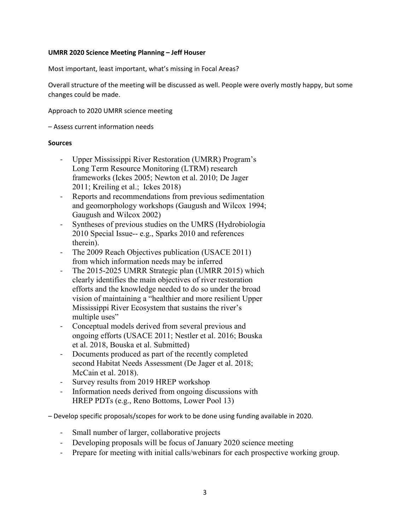### **UMRR 2020 Science Meeting Planning – Jeff Houser**

Most important, least important, what's missing in Focal Areas?

 Overall structure of the meeting will be discussed as well. People were overly mostly happy, but some changes could be made.

Approach to 2020 UMRR science meeting

– Assess current information needs

#### **Sources**

- 2011; Kreiling et al.; Ickes 2018) Upper Mississippi River Restoration (UMRR) Program's Long Term Resource Monitoring (LTRM) research frameworks (Ickes 2005; Newton et al. 2010; De Jager
- and geomorphology workshops (Gaugush and Wilcox 1994; Gaugush and Wilcox 2002) - Reports and recommendations from previous sedimentation
- 2010 Special Issue-- e.g., Sparks 2010 and references - Syntheses of previous studies on the UMRS (Hydrobiologia therein).
- The 2009 Reach Objectives publication (USACE 2011) from which information needs may be inferred
- The 2015-2025 UMRR Strategic plan (UMRR 2015) which clearly identifies the main objectives of river restoration efforts and the knowledge needed to do so under the broad vision of maintaining a "healthier and more resilient Upper Mississippi River Ecosystem that sustains the river's multiple uses"
- et al. 2018, Bouska et al. Submitted) - Conceptual models derived from several previous and ongoing efforts (USACE 2011; Nestler et al. 2016; Bouska
- second Habitat Needs Assessment (De Jager et al. 2018; - Documents produced as part of the recently completed McCain et al. 2018).
- Survey results from 2019 HREP workshop
- Information needs derived from ongoing discussions with HREP PDTs (e.g., Reno Bottoms, Lower Pool 13)

– Develop specific proposals/scopes for work to be done using funding available in 2020.

- Small number of larger, collaborative projects
- Developing proposals will be focus of January 2020 science meeting
- Prepare for meeting with initial calls/webinars for each prospective working group.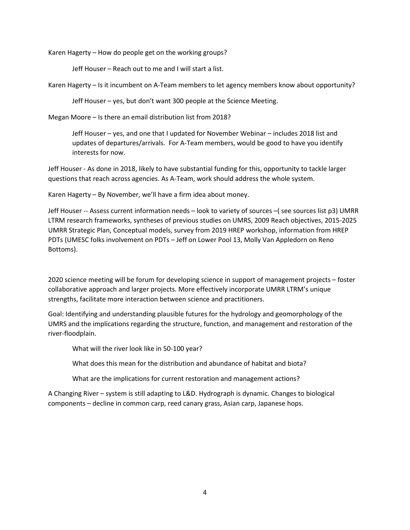Karen Hagerty – How do people get on the working groups?

Jeff Houser – Reach out to me and I will start a list.

Karen Hagerty – Is it incumbent on A-Team members to let agency members know about opportunity?

Jeff Houser – yes, but don't want 300 people at the Science Meeting.

Megan Moore – Is there an email distribution list from 2018?

Jeff Houser – yes, and one that I updated for November Webinar – includes 2018 list and updates of departures/arrivals. For A-Team members, would be good to have you identify interests for now.

 Jeff Houser - As done in 2018, likely to have substantial funding for this, opportunity to tackle larger questions that reach across agencies. As A-Team, work should address the whole system.

Karen Hagerty – By November, we'll have a firm idea about money.

 Jeff Houser -- Assess current information needs – look to variety of sources –( see sources list p3) UMRR PDTs (UMESC folks involvement on PDTs – Jeff on Lower Pool 13, Molly Van Appledorn on Reno Bottoms). LTRM research frameworks, syntheses of previous studies on UMRS, 2009 Reach objectives, 2015-2025 UMRR Strategic Plan, Conceptual models, survey from 2019 HREP workshop, information from HREP

Bottoms).<br>2020 science meeting will be forum for developing science in support of management projects – foster collaborative approach and larger projects. More effectively incorporate UMRR LTRM's unique strengths, facilitate more interaction between science and practitioners.

 Goal: Identifying and understanding plausible futures for the hydrology and geomorphology of the UMRS and the implications regarding the structure, function, and management and restoration of the river-floodplain.

What will the river look like in 50-100 year?

What does this mean for the distribution and abundance of habitat and biota?

What are the implications for current restoration and management actions?

 components – decline in common carp, reed canary grass, Asian carp, Japanese hops. A Changing River – system is still adapting to L&D. Hydrograph is dynamic. Changes to biological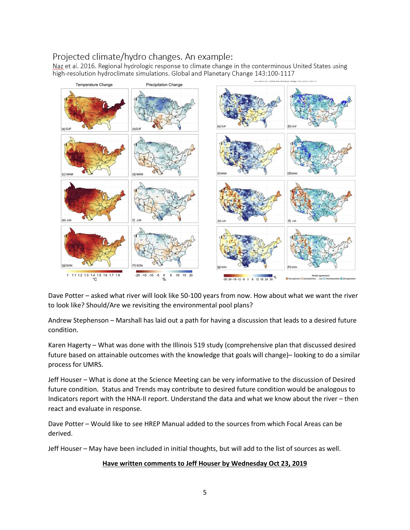# Projected climate/hydro changes. An example:

Naz et al. 2016. Regional hydrologic response to climate change in the conterminous United States using high-resolution hydroclimate simulations. Global and Planetary Change 143:100-1117



 Dave Potter – asked what river will look like 50-100 years from now. How about what we want the river to look like? Should/Are we revisiting the environmental pool plans?

Andrew Stephenson – Marshall has laid out a path for having a discussion that leads to a desired future condition.

 Karen Hagerty – What was done with the Illinois 519 study (comprehensive plan that discussed desired future based on attainable outcomes with the knowledge that goals will change)– looking to do a similar process for UMRS.

 Jeff Houser – What is done at the Science Meeting can be very informative to the discussion of Desired future condition. Status and Trends may contribute to desired future condition would be analogous to Indicators report with the HNA-II report. Understand the data and what we know about the river – then react and evaluate in response.

 Dave Potter – Would like to see HREP Manual added to the sources from which Focal Areas can be derived.

Jeff Houser – May have been included in initial thoughts, but will add to the list of sources as well.

### **Have written comments to Jeff Houser by Wednesday Oct 23, 2019**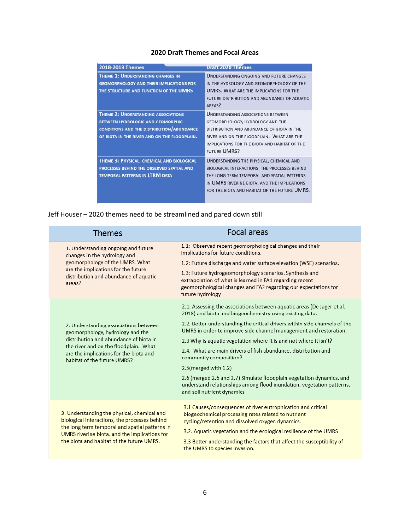# **2020 Draft Themes and Focal Areas**

| 2018-2019 Themes                                                                                                                                                                           | <b>Draft 2020 Themes</b>                                                                                                                                                                                                                         |
|--------------------------------------------------------------------------------------------------------------------------------------------------------------------------------------------|--------------------------------------------------------------------------------------------------------------------------------------------------------------------------------------------------------------------------------------------------|
| <b>THEME 1: UNDERSTANDING CHANGES IN</b><br><b>GEOMORPHOLOGY AND THEIR IMPLICATIONS FOR</b><br>THE STRUCTURE AND FUNCTION OF THE UMRS                                                      | UNDERSTANDING ONGOING AND FUTURE CHANGES<br>IN THE HYDROLOGY AND GEOMORPHOLOGY OF THE<br><b>UMRS. WHAT ARE THE IMPLICATIONS FOR THE</b><br>FUTURE DISTRIBUTION AND ABUNDANCE OF AQUATIC<br>AREAS?                                                |
| <b>THEME 2: UNDERSTANDING ASSOCIATIONS</b><br><b>BETWEEN HYDROLOGIC AND GEOMORPHIC</b><br><b>CONDITIONS AND THE DISTRIBUTION/ABUNDANCE</b><br>OF BIOTA IN THE RIVER AND ON THE FLOODPLAIN. | <b>UNDERSTANDING ASSOCIATIONS BETWEEN</b><br>GEOMORPHOLOGY, HYDROLOGY AND THE<br>DISTRIBUTION AND ABUNDANCE OF BIOTA IN THE<br>RIVER AND ON THE FLOODPLAIN. WHAT ARE THE<br>IMPLICATIONS FOR THE BIOTA AND HABITAT OF THE<br><b>FUTURE UMRS?</b> |
| THEME 3: PHYSICAL, CHEMICAL AND BIOLOGICAL<br>PROCESSES BEHIND THE OBSERVED SPATIAL AND<br><b>TEMPORAL PATTERNS IN LTRM DATA</b>                                                           | UNDERSTANDING THE PHYSICAL, CHEMICAL AND<br>BIOLOGICAL INTERACTIONS, THE PROCESSES BEHIND<br>THE LONG TERM TEMPORAL AND SPATIAL PATTERNS<br>IN UMRS RIVERINE BIOTA, AND THE IMPLICATIONS<br>FOR THE BIOTA AND HABITAT OF THE FUTURE UMRS.        |

Jeff Houser – 2020 themes need to be streamlined and pared down still

| <b>Themes</b>                                                                                                                                                                                                                                | <b>Focal areas</b>                                                                                                                                                                                          |
|----------------------------------------------------------------------------------------------------------------------------------------------------------------------------------------------------------------------------------------------|-------------------------------------------------------------------------------------------------------------------------------------------------------------------------------------------------------------|
| 1. Understanding ongoing and future<br>changes in the hydrology and<br>geomorphology of the UMRS. What<br>are the implications for the future<br>distribution and abundance of aquatic<br>areas?                                             | 1.1: Observed recent geomorphological changes and their<br>implications for future conditions.                                                                                                              |
|                                                                                                                                                                                                                                              | 1.2: Future discharge and water surface elevation (WSE) scenarios.                                                                                                                                          |
|                                                                                                                                                                                                                                              | 1.3: Future hydrogeomorphology scenarios. Synthesis and<br>extrapolation of what is learned in FA1 regarding recent<br>geomorphological changes and FA2 regarding our expectations for<br>future hydrology. |
| 2. Understanding associations between<br>geomorphology, hydrology and the<br>distribution and abundance of biota in<br>the river and on the floodplain. What<br>are the implications for the biota and<br>habitat of the future UMRS?        | 2.1: Assessing the associations between aquatic areas (De Jager et al.<br>2018) and biota and biogeochemistry using existing data.                                                                          |
|                                                                                                                                                                                                                                              | 2.2. Better understanding the critical drivers within side channels of the<br>UMRS in order to improve side channel management and restoration.                                                             |
|                                                                                                                                                                                                                                              | 2.3 Why is aquatic vegetation where it is and not where it isn't?                                                                                                                                           |
|                                                                                                                                                                                                                                              | 2.4. What are main drivers of fish abundance, distribution and<br>community composition?                                                                                                                    |
|                                                                                                                                                                                                                                              | 2.5 (merged with 1.2)                                                                                                                                                                                       |
|                                                                                                                                                                                                                                              | 2.6 (merged 2.6 and 2.7) Simulate floodplain vegetation dynamics, and<br>understand relationships among flood inundation, vegetation patterns,<br>and soil nutrient dynamics                                |
| 3. Understanding the physical, chemical and<br>biological interactions, the processes behind<br>the long term temporal and spatial patterns in<br>UMRS riverine biota, and the implications for<br>the biota and habitat of the future UMRS. | 3.1 Causes/consequences of river eutrophication and critical<br>biogeochemical processing rates related to nutrient<br>cycling/retention and dissolved oxygen dynamics.                                     |
|                                                                                                                                                                                                                                              | 3.2. Aquatic vegetation and the ecological resilience of the UMRS                                                                                                                                           |
|                                                                                                                                                                                                                                              | 3.3 Better understanding the factors that affect the susceptibility of<br>the UMRS to species invasion.                                                                                                     |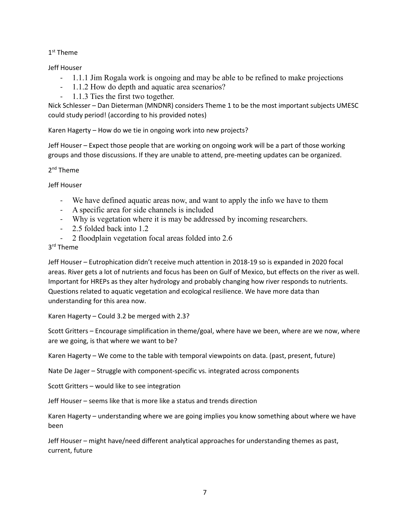1<sup>st</sup> Theme

Jeff Houser

- 1.1.1 Jim Rogala work is ongoing and may be able to be refined to make projections
- 1.1.2 How do depth and aquatic area scenarios?
- 1.1.3 Ties the first two together.

 Nick Schlesser – Dan Dieterman (MNDNR) considers Theme 1 to be the most important subjects UMESC could study period! (according to his provided notes)

Karen Hagerty – How do we tie in ongoing work into new projects?

Jeff Houser – Expect those people that are working on ongoing work will be a part of those working groups and those discussions. If they are unable to attend, pre-meeting updates can be organized.

2<sup>nd</sup> Theme

Jeff Houser

- We have defined aquatic areas now, and want to apply the info we have to them
- A specific area for side channels is included
- Why is vegetation where it is may be addressed by incoming researchers.
- 2.5 folded back into 1.2
- 2 floodplain vegetation focal areas folded into 2.6

3<sup>rd</sup> Theme

 areas. River gets a lot of nutrients and focus has been on Gulf of Mexico, but effects on the river as well. Questions related to aquatic vegetation and ecological resilience. We have more data than Jeff Houser – Eutrophication didn't receive much attention in 2018-19 so is expanded in 2020 focal Important for HREPs as they alter hydrology and probably changing how river responds to nutrients. understanding for this area now.

Karen Hagerty – Could 3.2 be merged with 2.3?

 Scott Gritters – Encourage simplification in theme/goal, where have we been, where are we now, where are we going, is that where we want to be?

Karen Hagerty – We come to the table with temporal viewpoints on data. (past, present, future)

Nate De Jager – Struggle with component-specific vs. integrated across components

Scott Gritters – would like to see integration

Jeff Houser – seems like that is more like a status and trends direction

 Karen Hagerty – understanding where we are going implies you know something about where we have been

 Jeff Houser – might have/need different analytical approaches for understanding themes as past, current, future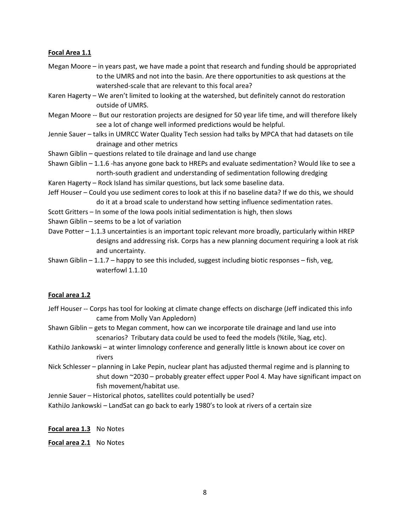#### **Focal Area 1.1**

- Megan Moore in years past, we have made a point that research and funding should be appropriated to the UMRS and not into the basin. Are there opportunities to ask questions at the watershed-scale that are relevant to this focal area?
- Karen Hagerty We aren't limited to looking at the watershed, but definitely cannot do restoration outside of UMRS.
- Megan Moore -- But our restoration projects are designed for 50 year life time, and will therefore likely see a lot of change well informed predictions would be helpful.
- Jennie Sauer talks in UMRCC Water Quality Tech session had talks by MPCA that had datasets on tile drainage and other metrics
- Shawn Giblin questions related to tile drainage and land use change
- Shawn Giblin 1.1.6 -has anyone gone back to HREPs and evaluate sedimentation? Would like to see a north-south gradient and understanding of sedimentation following dredging
- Karen Hagerty Rock Island has similar questions, but lack some baseline data.
- Jeff Houser Could you use sediment cores to look at this if no baseline data? If we do this, we should do it at a broad scale to understand how setting influence sedimentation rates.
- Scott Gritters In some of the Iowa pools initial sedimentation is high, then slows
- Shawn Giblin seems to be a lot of variation
- Dave Potter 1.1.3 uncertainties is an important topic relevant more broadly, particularly within HREP designs and addressing risk. Corps has a new planning document requiring a look at risk and uncertainty.
- Shawn Giblin  $-1.1.7$  happy to see this included, suggest including biotic responses fish, veg, waterfowl 1.1.10

#### **Focal area 1.2**

- Jeff Houser -- Corps has tool for looking at climate change effects on discharge (Jeff indicated this info came from Molly Van Appledorn)
- scenarios? Tributary data could be used to feed the models (%tile, %ag, etc). Shawn Giblin – gets to Megan comment, how can we incorporate tile drainage and land use into
- KathiJo Jankowski at winter limnology conference and generally little is known about ice cover on rivers
- Nick Schlesser planning in Lake Pepin, nuclear plant has adjusted thermal regime and is planning to shut down ~2030 – probably greater effect upper Pool 4. May have significant impact on fish movement/habitat use.
- Jennie Sauer Historical photos, satellites could potentially be used?
- KathiJo Jankowski LandSat can go back to early 1980's to look at rivers of a certain size

**Focal area 1.3** No Notes

**Focal area 2.1** No Notes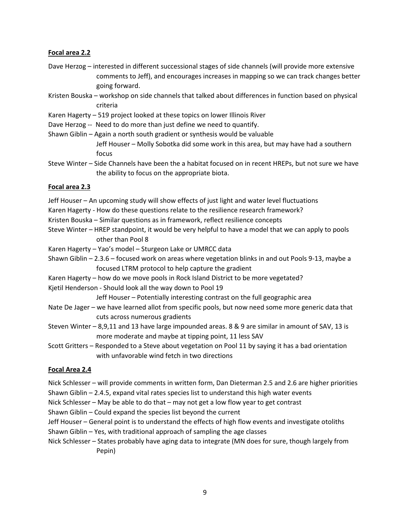### **Focal area 2.2**

- comments to Jeff), and encourages increases in mapping so we can track changes better Dave Herzog – interested in different successional stages of side channels (will provide more extensive going forward.
- Kristen Bouska workshop on side channels that talked about differences in function based on physical criteria
- Karen Hagerty 519 project looked at these topics on lower Illinois River
- Dave Herzog -- Need to do more than just define we need to quantify.
- Shawn Giblin Again a north south gradient or synthesis would be valuable Jeff Houser – Molly Sobotka did some work in this area, but may have had a southern focus
- Steve Winter Side Channels have been the a habitat focused on in recent HREPs, but not sure we have the ability to focus on the appropriate biota.

### **Focal area 2.3**

- Jeff Houser An upcoming study will show effects of just light and water level fluctuations
- Karen Hagerty How do these questions relate to the resilience research framework?
- Kristen Bouska Similar questions as in framework, reflect resilience concepts
- Steve Winter HREP standpoint, it would be very helpful to have a model that we can apply to pools other than Pool 8
- Karen Hagerty Yao's model Sturgeon Lake or UMRCC data
- Shawn Giblin 2.3.6 focused work on areas where vegetation blinks in and out Pools 9-13, maybe a focused LTRM protocol to help capture the gradient
- Karen Hagerty how do we move pools in Rock Island District to be more vegetated?
- Kjetil Henderson Should look all the way down to Pool 19

Jeff Houser – Potentially interesting contrast on the full geographic area

- Nate De Jager we have learned allot from specific pools, but now need some more generic data that cuts across numerous gradients
- Steven Winter 8,9,11 and 13 have large impounded areas. 8 & 9 are similar in amount of SAV, 13 is more moderate and maybe at tipping point, 11 less SAV
- Scott Gritters Responded to a Steve about vegetation on Pool 11 by saying it has a bad orientation with unfavorable wind fetch in two directions

# **Focal Area 2.4**

- Nick Schlesser will provide comments in written form, Dan Dieterman 2.5 and 2.6 are higher priorities Shawn Giblin – 2.4.5, expand vital rates species list to understand this high water events
- Nick Schlesser May be able to do that may not get a low flow year to get contrast
- Shawn Giblin Could expand the species list beyond the current
- Jeff Houser General point is to understand the effects of high flow events and investigate otoliths
- Shawn Giblin Yes, with traditional approach of sampling the age classes
- Nick Schlesser States probably have aging data to integrate (MN does for sure, though largely from Pepin)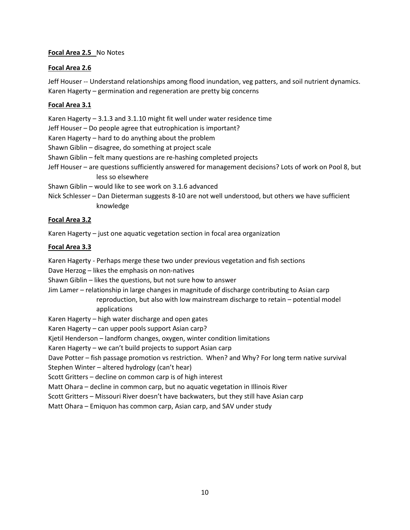### **Focal Area 2.5** No Notes

### **Focal Area 2.6**

 Jeff Houser -- Understand relationships among flood inundation, veg patters, and soil nutrient dynamics. Karen Hagerty – germination and regeneration are pretty big concerns

### **Focal Area 3.1**

Karen Hagerty – 3.1.3 and 3.1.10 might fit well under water residence time

Jeff Houser – Do people agree that eutrophication is important?

Karen Hagerty – hard to do anything about the problem

Shawn Giblin – disagree, do something at project scale

Shawn Giblin – felt many questions are re-hashing completed projects

- Jeff Houser are questions sufficiently answered for management decisions? Lots of work on Pool 8, but less so elsewhere
- Shawn Giblin would like to see work on 3.1.6 advanced
- Nick Schlesser Dan Dieterman suggests 8-10 are not well understood, but others we have sufficient knowledge

### **Focal Area 3.2**

Karen Hagerty – just one aquatic vegetation section in focal area organization

### **Focal Area 3.3**

Karen Hagerty - Perhaps merge these two under previous vegetation and fish sections

Dave Herzog – likes the emphasis on non-natives

Shawn Giblin – likes the questions, but not sure how to answer

 reproduction, but also with low mainstream discharge to retain – potential model Jim Lamer – relationship in large changes in magnitude of discharge contributing to Asian carp applications

Karen Hagerty – high water discharge and open gates

Karen Hagerty – can upper pools support Asian carp?

Kjetil Henderson – landform changes, oxygen, winter condition limitations

Karen Hagerty – we can't build projects to support Asian carp

Dave Potter – fish passage promotion vs restriction. When? and Why? For long term native survival

Stephen Winter – altered hydrology (can't hear)

Scott Gritters – decline on common carp is of high interest

Matt Ohara – decline in common carp, but no aquatic vegetation in Illinois River

Scott Gritters – Missouri River doesn't have backwaters, but they still have Asian carp

Matt Ohara – Emiquon has common carp, Asian carp, and SAV under study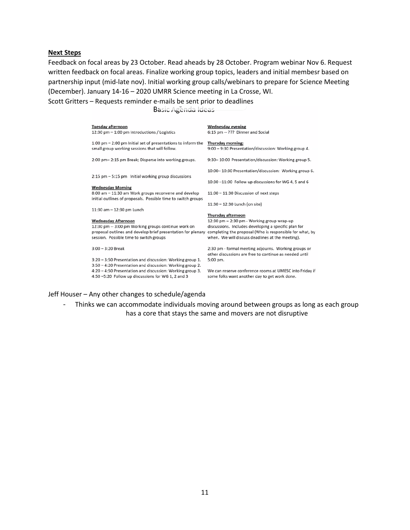#### **Next Steps**

 Feedback on focal areas by 23 October. Read aheads by 28 October. Program webinar Nov 6. Request written feedback on focal areas. Finalize working group topics, leaders and initial membesr based on partnership input (mid-late nov). Initial working group calls/webinars to prepare for Science Meeting (December). January 14-16 – 2020 UMRR Science meeting in La Crosse, WI.

Scott Gritters – Requests reminder e-mails be sent prior to deadlines

Basic Agenda Ideas

| <b>Tuesday afternoon</b><br>12:30 pm $-$ 1:00 pm Introductions / Logistics                                                                                                                   | <b>Wednesday evening</b><br>6:15 pm -- ??? Dinner and Social                                                                                                                                                                             |
|----------------------------------------------------------------------------------------------------------------------------------------------------------------------------------------------|------------------------------------------------------------------------------------------------------------------------------------------------------------------------------------------------------------------------------------------|
| 1:00 pm - 2:00 pm Initial set of presentations to inform the<br>small group working sessions that will follow.                                                                               | Thursday morning:<br>9:00 - 9:30 Presentation/discussion: Working group 4.                                                                                                                                                               |
| 2:00 pm-2:15 pm Break; Disperse into working groups.                                                                                                                                         | 9:30-10:00 Presentation/discussion: Working group 5.                                                                                                                                                                                     |
| $2:15$ pm $-5:15$ pm Initial working group discussions                                                                                                                                       | 10:00-10:30 Presentation/discussion: Working group 6.                                                                                                                                                                                    |
|                                                                                                                                                                                              | 10:30 -11:00 Follow up discussions for WG 4, 5 and 6                                                                                                                                                                                     |
| <b>Wednesday Morning</b><br>8:00 am - 11:30 am Work groups reconvene and develop<br>initial outlines of proposals. Possible time to switch groups                                            | 11:00 - 11:30 Discussion of next steps                                                                                                                                                                                                   |
|                                                                                                                                                                                              | 11:30 - 12:30 Lunch (on site)                                                                                                                                                                                                            |
| 11:30 am - 12:30 pm Lunch                                                                                                                                                                    |                                                                                                                                                                                                                                          |
| <b>Wednesday Afternoon</b><br>12:30 pm -- 3:00 pm Working groups continue work on<br>proposal outlines and develop brief presentation for plenary<br>session. Possible time to switch groups | Thursday afternoon<br>12:30 pm - 2:30 pm - Working group wrap-up<br>discussions. Includes developing a specific plan for<br>completing the proposal (Who is responsible for what, by<br>when. We will discuss deadlines at the meeting). |
| $3:00 - 3:20$ Break                                                                                                                                                                          | 2:30 pm - formal meeting adjourns. Working groups or<br>other discussions are free to continue as needed until                                                                                                                           |
| 3:20 - 3:50 Presentation and discussion: Working group 1.<br>3:50 - 4:20 Presentation and discussion: Working group 2.                                                                       | 5:00 pm.                                                                                                                                                                                                                                 |
| 4:20 - 4:50 Presentation and discussion: Working group 3.<br>4:50 -5:20 Follow up discussions for WG 1, 2 and 3                                                                              | We can reserve conference rooms at UMESC into Friday if<br>some folks want another day to get work done.                                                                                                                                 |

#### Jeff Houser – Any other changes to schedule/agenda

- Thinks we can accommodate individuals moving around between groups as long as each group has a core that stays the same and movers are not disruptive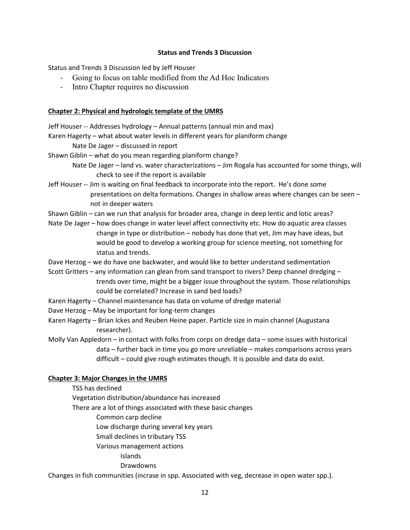#### **Status and Trends 3 Discussion**

Status and Trends 3 Discussion led by Jeff Houser

- Going to focus on table modified from the Ad Hoc Indicators
- Intro Chapter requires no discussion

#### **Chapter 2: Physical and hydrologic template of the UMRS**

Jeff Houser -- Addresses hydrology – Annual patterns (annual min and max)

Karen Hagerty – what about water levels in different years for planiform change

Nate De Jager – discussed in report

- Shawn Giblin what do you mean regarding planiform change?
	- Nate De Jager land vs. water characterizations Jim Rogala has accounted for some things, will check to see if the report is available
- Jeff Houser -- Jim is waiting on final feedback to incorporate into the report. He's done some presentations on delta formations. Changes in shallow areas where changes can be seen – not in deeper waters
- Shawn Giblin can we run that analysis for broader area, change in deep lentic and lotic areas?
- change in type or distribution nobody has done that yet, Jim may have ideas, but Nate De Jager – how does change in water level affect connectivity etc. How do aquatic area classes would be good to develop a working group for science meeting, not something for status and trends.
- Dave Herzog we do have one backwater, and would like to better understand sedimentation
- Scott Gritters any information can glean from sand transport to rivers? Deep channel dredging trends over time, might be a bigger issue throughout the system. Those relationships could be correlated? Increase in sand bed loads?
- Karen Hagerty Channel maintenance has data on volume of dredge material
- Dave Herzog May be important for long-term changes
- Karen Hagerty Brian Ickes and Reuben Heine paper. Particle size in main channel (Augustana researcher).
- data further back in time you go more unreliable makes comparisons across years Molly Van Appledorn – in contact with folks from corps on dredge data – some issues with historical difficult – could give rough estimates though. It is possible and data do exist.

# **Chapter 3: Major Changes in the UMRS**

- TSS has declined
- Vegetation distribution/abundance has increased
- There are a lot of things associated with these basic changes
	- Common carp decline
	- Low discharge during several key years
	- Small declines in tributary TSS
	- Various management actions
		- Islands
		- Drawdowns

Changes in fish communities (incrase in spp. Associated with veg, decrease in open water spp.).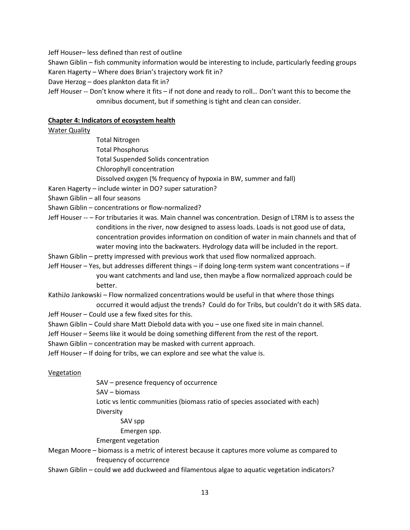Jeff Houser– less defined than rest of outline

 Karen Hagerty – Where does Brian's trajectory work fit in? Shawn Giblin – fish community information would be interesting to include, particularly feeding groups

- Dave Herzog does plankton data fit in?
- Jeff Houser -- Don't know where it fits if not done and ready to roll… Don't want this to become the omnibus document, but if something is tight and clean can consider.

#### **Chapter 4: Indicators of ecosystem health**

Water Quality

- Total Nitrogen Total Phosphorus Total Suspended Solids concentration Chlorophyll concentration
- Dissolved oxygen (% frequency of hypoxia in BW, summer and fall)
- Karen Hagerty include winter in DO? super saturation?
- Shawn Giblin all four seasons
- Shawn Giblin concentrations or flow-normalized?
- Jeff Houser -- For tributaries it was. Main channel was concentration. Design of LTRM is to assess the conditions in the river, now designed to assess loads. Loads is not good use of data, concentration provides information on condition of water in main channels and that of water moving into the backwaters. Hydrology data will be included in the report.
- Shawn Giblin pretty impressed with previous work that used flow normalized approach.
- Jeff Houser Yes, but addresses different things if doing long-term system want concentrations if you want catchments and land use, then maybe a flow normalized approach could be better.

KathiJo Jankowski – Flow normalized concentrations would be useful in that where those things occurred it would adjust the trends? Could do for Tribs, but couldn't do it with SRS data.

- Jeff Houser Could use a few fixed sites for this.
- Shawn Giblin Could share Matt Diebold data with you use one fixed site in main channel.
- Jeff Houser Seems like it would be doing something different from the rest of the report.
- Shawn Giblin concentration may be masked with current approach.
- Jeff Houser If doing for tribs, we can explore and see what the value is.

#### Vegetation

- SAV presence frequency of occurrence
- SAV biomass
- Lotic vs lentic communities (biomass ratio of species associated with each) Diversity
	- SAV spp
	- Emergen spp.
- Emergent vegetation
- Megan Moore biomass is a metric of interest because it captures more volume as compared to frequency of occurrence
- Shawn Giblin could we add duckweed and filamentous algae to aquatic vegetation indicators?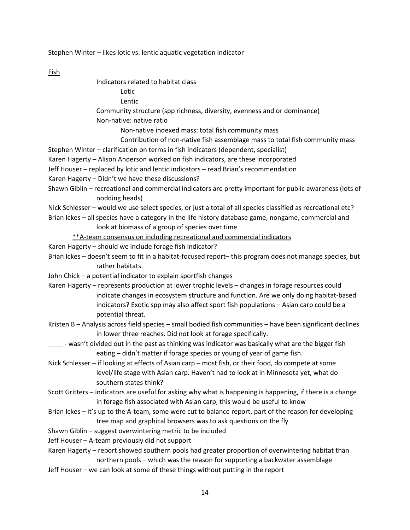Stephen Winter – likes lotic vs. lentic aquatic vegetation indicator

Fish

| Indicators related to habitat class |  |
|-------------------------------------|--|
| Lotic                               |  |
| Lentic                              |  |

 Community structure (spp richness, diversity, evenness and or dominance) Non-native: native ratio

Non-native indexed mass: total fish community mass

- Contribution of non-native fish assemblage mass to total fish community mass
- Stephen Winter clarification on terms in fish indicators (dependent, specialist)
- Karen Hagerty Alison Anderson worked on fish indicators, are these incorporated
- Jeff Houser replaced by lotic and lentic indicators read Brian's recommendation
- Karen Hagerty Didn't we have these discussions?
- Shawn Giblin recreational and commercial indicators are pretty important for public awareness (lots of nodding heads)

Nick Schlesser – would we use select species, or just a total of all species classified as recreational etc? Brian Ickes – all species have a category in the life history database game, nongame, commercial and

look at biomass of a group of species over time

- \*\*A-team consensus on including recreational and commercial indicators
- Karen Hagerty should we include forage fish indicator?
- rather habitats. Brian Ickes – doesn't seem to fit in a habitat-focused report– this program does not manage species, but
- John Chick a potential indicator to explain sportfish changes
- Karen Hagerty represents production at lower trophic levels changes in forage resources could indicators? Exotic spp may also affect sport fish populations – Asian carp could be a indicate changes in ecosystem structure and function. Are we only doing habitat-based potential threat.
- Kristen B Analysis across field species small bodied fish communities have been significant declines in lower three reaches. Did not look at forage specifically.
- \_\_\_\_\_ wasn't divided out in the past as thinking was indicator was basically what are the bigger fish eating – didn't matter if forage species or young of year of game fish.
- Nick Schlesser if looking at effects of Asian carp most fish, or their food, do compete at some level/life stage with Asian carp. Haven't had to look at in Minnesota yet, what do southern states think?
- Scott Gritters indicators are useful for asking why what is happening is happening, if there is a change in forage fish associated with Asian carp, this would be useful to know
- Brian Ickes it's up to the A-team, some were cut to balance report, part of the reason for developing tree map and graphical browsers was to ask questions on the fly
- Shawn Giblin suggest overwintering metric to be included

Jeff Houser – A-team previously did not support

- Karen Hagerty report showed southern pools had greater proportion of overwintering habitat than northern pools – which was the reason for supporting a backwater assemblage
- Jeff Houser we can look at some of these things without putting in the report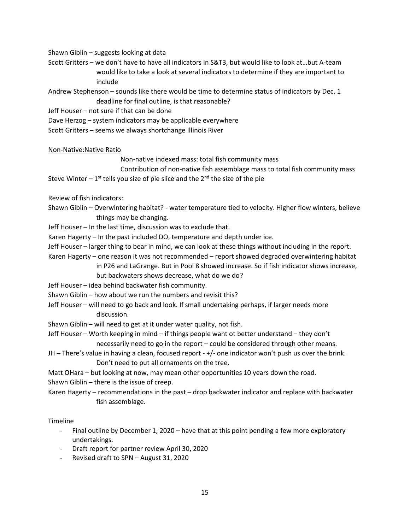Shawn Giblin – suggests looking at data

 would like to take a look at several indicators to determine if they are important to Scott Gritters – we don't have to have all indicators in S&T3, but would like to look at…but A-team include

 Andrew Stephenson – sounds like there would be time to determine status of indicators by Dec. 1 deadline for final outline, is that reasonable?

Jeff Houser – not sure if that can be done

- Dave Herzog system indicators may be applicable everywhere
- Scott Gritters seems we always shortchange Illinois River

#### Non-Native:Native Ratio

Non-native indexed mass: total fish community mass

Steve Winter  $-1^{st}$  tells you size of pie slice and the  $2^{nd}$  the size of the pie Contribution of non-native fish assemblage mass to total fish community mass

Review of fish indicators:

 Shawn Giblin – Overwintering habitat? - water temperature tied to velocity. Higher flow winters, believe things may be changing.

Jeff Houser – In the last time, discussion was to exclude that.

Karen Hagerty – In the past included DO, temperature and depth under ice.

Jeff Houser – larger thing to bear in mind, we can look at these things without including in the report.

Karen Hagerty – one reason it was not recommended – report showed degraded overwintering habitat

in P26 and LaGrange. But in Pool 8 showed increase. So if fish indicator shows increase,

but backwaters shows decrease, what do we do?

Jeff Houser – idea behind backwater fish community.

Shawn Giblin – how about we run the numbers and revisit this?

 Jeff Houser – will need to go back and look. If small undertaking perhaps, if larger needs more discussion.

Shawn Giblin – will need to get at it under water quality, not fish.

- Jeff Houser Worth keeping in mind if things people want ot better understand they don't necessarily need to go in the report – could be considered through other means.
- JH There's value in having a clean, focused report +/- one indicator won't push us over the brink. Don't need to put all ornaments on the tree.
- Matt OHara but looking at now, may mean other opportunities 10 years down the road.

Shawn Giblin – there is the issue of creep.

 Karen Hagerty – recommendations in the past – drop backwater indicator and replace with backwater fish assemblage.

#### Timeline

- - Final outline by December 1, 2020 have that at this point pending a few more exploratory undertakings.
- Draft report for partner review April 30, 2020
- Revised draft to SPN August 31, 2020